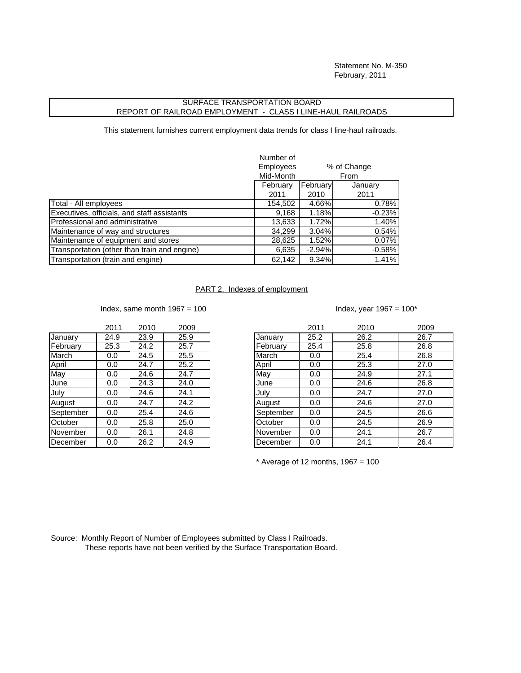Statement No. M-350 February, 2011

## SURFACE TRANSPORTATION BOARD REPORT OF RAILROAD EMPLOYMENT - CLASS I LINE-HAUL RAILROADS

This statement furnishes current employment data trends for class I line-haul railroads.

|                                              | Number of                       |          |          |
|----------------------------------------------|---------------------------------|----------|----------|
|                                              | <b>Employees</b><br>% of Change |          |          |
|                                              | Mid-Month                       |          | From     |
|                                              | February                        | February | January  |
|                                              | 2011                            | 2010     | 2011     |
| Total - All employees                        | 154,502                         | 4.66%    | 0.78%    |
| Executives, officials, and staff assistants  | 9,168                           | 1.18%    | $-0.23%$ |
| Professional and administrative              | 13,633                          | 1.72%    | 1.40%    |
| Maintenance of way and structures            | 34,299                          | 3.04%    | 0.54%    |
| Maintenance of equipment and stores          | 28,625                          | 1.52%    | 0.07%    |
| Transportation (other than train and engine) | 6,635                           | $-2.94%$ | $-0.58%$ |
| Transportation (train and engine)            | 62,142                          | 9.34%    | 1.41%    |

## PART 2. Indexes of employment

Index, same month  $1967 = 100$  Index, same nonth  $1967 = 100$ 

| ndex, year 1967 = 100* |  |  |
|------------------------|--|--|
|------------------------|--|--|

|           | 2011 | 2010 | 2009 |
|-----------|------|------|------|
| January   | 24.9 | 23.9 | 25.9 |
| February  | 25.3 | 24.2 | 25.7 |
| March     | 0.0  | 24.5 | 25.5 |
| April     | 0.0  | 24.7 | 25.2 |
| Mav       | 0.0  | 24.6 | 24.7 |
| June      | 0.0  | 24.3 | 24.0 |
| July      | 0.0  | 24.6 | 24.1 |
| August    | 0.0  | 24.7 | 24.2 |
| September | 0.0  | 25.4 | 24.6 |
| October   | 0.0  | 25.8 | 25.0 |
| November  | 0.0  | 26.1 | 24.8 |
| December  | 0.0  | 26.2 | 24.9 |

|           | 2011 | 2010 | 2009 |           | 2011 | 2010 | 2009 |
|-----------|------|------|------|-----------|------|------|------|
| January   | 24.9 | 23.9 | 25.9 | January   | 25.2 | 26.2 | 26.7 |
| February  | 25.3 | 24.2 | 25.7 | February  | 25.4 | 25.8 | 26.8 |
| March     | 0.0  | 24.5 | 25.5 | March     | 0.0  | 25.4 | 26.8 |
| April     | 0.0  | 24.7 | 25.2 | April     | 0.0  | 25.3 | 27.0 |
| May       | 0.0  | 24.6 | 24.7 | May       | 0.0  | 24.9 | 27.1 |
| June      | 0.0  | 24.3 | 24.0 | June      | 0.0  | 24.6 | 26.8 |
| July      | 0.0  | 24.6 | 24.1 | July      | 0.0  | 24.7 | 27.0 |
| August    | 0.0  | 24.7 | 24.2 | August    | 0.0  | 24.6 | 27.0 |
| September | 0.0  | 25.4 | 24.6 | September | 0.0  | 24.5 | 26.6 |
| October   | 0.0  | 25.8 | 25.0 | October   | 0.0  | 24.5 | 26.9 |
| November  | 0.0  | 26.1 | 24.8 | November  | 0.0  | 24.1 | 26.7 |
| December  | 0.0  | 26.2 | 24.9 | December  | 0.0  | 24.1 | 26.4 |

 $*$  Average of 12 months, 1967 = 100

Source: Monthly Report of Number of Employees submitted by Class I Railroads. These reports have not been verified by the Surface Transportation Board.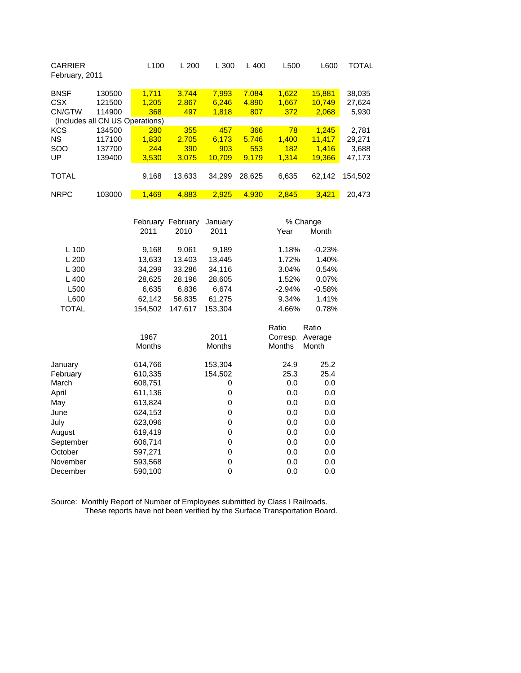| <b>CARRIER</b><br>February, 2011 |        | L <sub>100</sub>         | L200   | L300   | $L$ 400 | L500  | L600   | TOTAL   |
|----------------------------------|--------|--------------------------|--------|--------|---------|-------|--------|---------|
| <b>BNSF</b>                      | 130500 | 1,711                    | 3,744  | 7,993  | 7,084   | 1,622 | 15,881 | 38,035  |
| <b>CSX</b>                       | 121500 | 1,205                    | 2.867  | 6,246  | 4,890   | 1,667 | 10.749 | 27,624  |
| CN/GTW                           | 114900 | 368                      | 497    | 1,818  | 807     | 372   | 2,068  | 5,930   |
| (Includes all                    |        | <b>CN US Operations)</b> |        |        |         |       |        |         |
| <b>KCS</b>                       | 134500 | 280                      | 355    | 457    | 366     | 78    | 1.245  | 2.781   |
| <b>NS</b>                        | 117100 | 1.830                    | 2.705  | 6.173  | 5.746   | 1,400 | 11.417 | 29.271  |
| <b>SOO</b>                       | 137700 | 244                      | 390    | 903    | 553     | 182   | 1.416  | 3,688   |
| UP                               | 139400 | 3,530                    | 3.075  | 10.709 | 9.179   | 1.314 | 19,366 | 47,173  |
|                                  |        |                          |        |        |         |       |        |         |
| <b>TOTAL</b>                     |        | 9,168                    | 13,633 | 34.299 | 28.625  | 6,635 | 62.142 | 154.502 |
|                                  |        |                          |        |        |         |       |        |         |
| <b>NRPC</b>                      | 103000 | 1.469                    | 4.883  | 2.925  | 4.930   | 2.845 | 3.421  | 20,473  |

|              |               | February February<br>January |               | % Change      |          |
|--------------|---------------|------------------------------|---------------|---------------|----------|
|              | 2011          | 2010                         | 2011          | Year          | Month    |
| $L$ 100      | 9,168         | 9,061                        | 9,189         | 1.18%         | $-0.23%$ |
| L200         | 13,633        | 13,403                       | 13,445        | 1.72%         | 1.40%    |
| L300         | 34,299        | 33,286                       | 34,116        | 3.04%         | 0.54%    |
| $L$ 400      | 28,625        | 28,196                       | 28,605        | 1.52%         | 0.07%    |
| L500         | 6,635         | 6,836                        | 6,674         | $-2.94%$      | $-0.58%$ |
| L600         | 62,142        | 56,835                       | 61,275        | 9.34%         | 1.41%    |
| <b>TOTAL</b> | 154,502       | 147,617                      | 153,304       | 4.66%         | 0.78%    |
|              |               |                              |               | Ratio         | Ratio    |
|              | 1967          |                              | 2011          | Corresp.      | Average  |
|              | <b>Months</b> |                              | <b>Months</b> | <b>Months</b> | Month    |
|              |               |                              |               |               |          |
| January      | 614,766       |                              | 153,304       | 24.9          | 25.2     |
| February     | 610,335       |                              | 154,502       | 25.3          | 25.4     |
| March        | 608,751       |                              | 0             | 0.0           | 0.0      |
| April        | 611,136       |                              | 0             | 0.0           | 0.0      |
| May          | 613,824       |                              | 0             | 0.0           | 0.0      |
| June         | 624,153       |                              | 0             | 0.0           | 0.0      |
| July         | 623,096       |                              | 0             | 0.0           | 0.0      |
| August       | 619,419       |                              | 0             | 0.0           | 0.0      |
| September    | 606,714       |                              | 0             | 0.0           | 0.0      |
| October      | 597,271       |                              | 0             | 0.0           | 0.0      |
| November     | 593,568       |                              | 0             | 0.0           | 0.0      |
| December     | 590,100       |                              | 0             | 0.0           | 0.0      |

Source: Monthly Report of Number of Employees submitted by Class I Railroads. These reports have not been verified by the Surface Transportation Board.